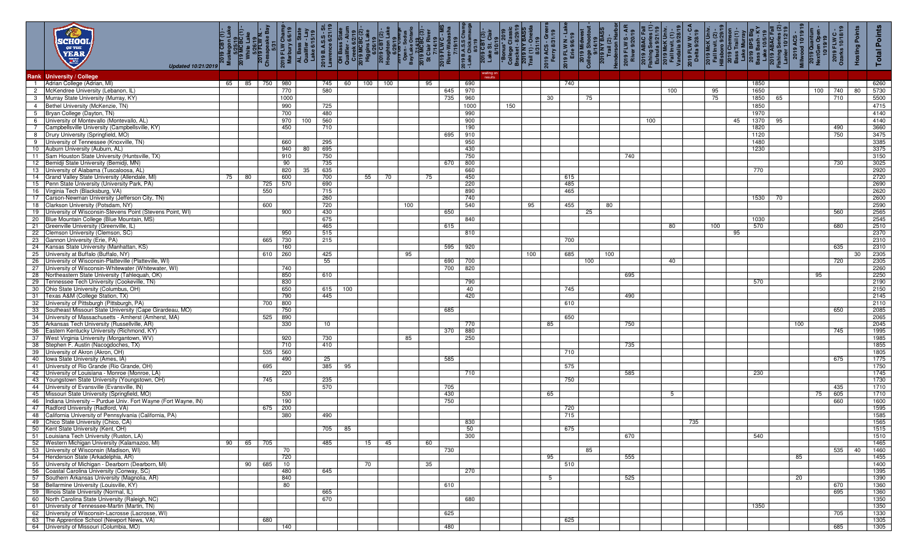|                 | KCH 00<br>OF THE<br>YEAR<br><b>Carcia</b><br>Updated 10/21/2019                                      | 2019<br>Muske | 5/25/19<br>White Lake<br>White Lake<br>5/26/19<br>2019 FLW N. -<br>2019 FLW N. - |                   | apeak<br>ABS<br>2019 FLW C1<br>Marbury 6i<br>Marbury 6i<br>AL Bass State<br>Class C1<br>Lake 6i | 2019 B.A.S.<br>Lawrence 6/ | TH Bass<br>Qualifier -<br>Creek 6/<br>2019 MCB<br>Higgins L |     | a العربي<br>2019 019<br>Houghts – H | St Cherical<br>Denision<br>Denision<br>Bayllake Or<br>2019 MCBC<br>2019 MCBC | $\frac{1}{\mathbf{C}}$ | 7/14/<br>2019 FLW<br>River-Wa | $\frac{1}{2}$ | 2019 CB<br>Lake St. | i)<br>Polleg<br>Colleg<br>Bracke<br>Prail (1<br>Trail (1 |     | 2019 ACS<br>Ferry 8/ | 2019 FLW<br>Erie 9/ | 2019 Mid<br>College Sho<br>College Sho<br>114/19<br>2019 NY B |     | / S - <i>L</i><br>/20/19<br><b>2019 FLW</b><br>River 9/2 | 2019 ABAC Fal<br>Fishing Series (*<br>Eufaula 9/21/19<br>2019 McK Univ<br>Fall Invit. (1) -<br>Mandalia 9/28/1 |     | 2019 FLW W - C<br>Delta 9/28/19 |     | 2019 McK Univ<br>Fall Invit. (2) -<br>Fall Invit. (2) -<br>Hillsboro 9/29/1<br>2019 Clemson<br>2019 BPS Big<br>2019 ABAC Fal<br>Bass Bash - K\<br>2019 ABAC Fal<br>2019 ABAC Fal |              |    | 2019 Qual<br>NextGen C<br>$rac{1}{2}$ | <b>FLW C -</b><br>10/18/19<br>2019 F<br>Ozarks | Points<br><b>Hosting</b> | Points<br>Total |
|-----------------|------------------------------------------------------------------------------------------------------|---------------|----------------------------------------------------------------------------------|-------------------|-------------------------------------------------------------------------------------------------|----------------------------|-------------------------------------------------------------|-----|-------------------------------------|------------------------------------------------------------------------------|------------------------|-------------------------------|---------------|---------------------|----------------------------------------------------------|-----|----------------------|---------------------|---------------------------------------------------------------|-----|----------------------------------------------------------|----------------------------------------------------------------------------------------------------------------|-----|---------------------------------|-----|----------------------------------------------------------------------------------------------------------------------------------------------------------------------------------|--------------|----|---------------------------------------|------------------------------------------------|--------------------------|-----------------|
|                 | Rank University / College                                                                            |               |                                                                                  |                   |                                                                                                 |                            |                                                             |     |                                     |                                                                              |                        |                               |               | waiting on          |                                                          |     |                      |                     |                                                               |     |                                                          |                                                                                                                |     |                                 |     |                                                                                                                                                                                  |              |    |                                       |                                                |                          |                 |
|                 | 1 Adrian College (Adrian, MI)                                                                        |               | 65 85 750 980                                                                    |                   |                                                                                                 | 745                        | 60                                                          | 100 | 100                                 |                                                                              | 95                     |                               | 690           |                     |                                                          |     |                      | 740                 |                                                               |     |                                                          |                                                                                                                |     |                                 |     |                                                                                                                                                                                  | 1850         |    |                                       |                                                |                          | 6260            |
|                 | 2 McKendree University (Lebanon, IL)                                                                 |               |                                                                                  | 770               |                                                                                                 | 580                        |                                                             |     |                                     |                                                                              |                        | 645                           | 970           |                     |                                                          |     |                      |                     |                                                               |     |                                                          |                                                                                                                | 100 |                                 | 95  |                                                                                                                                                                                  | 1650         |    | 100                                   | 740                                            | 80                       | 5730            |
| 3               | Murray State University (Murray, KY)                                                                 |               |                                                                                  | 1000              |                                                                                                 |                            |                                                             |     |                                     |                                                                              |                        | 735                           | 960           |                     |                                                          |     | 30                   |                     | 75                                                            |     |                                                          |                                                                                                                |     |                                 | 75  |                                                                                                                                                                                  | 1850         | 65 |                                       | 710                                            |                          | 5500            |
| $\overline{4}$  | Bethel University (McKenzie, TN)                                                                     |               |                                                                                  | 990               |                                                                                                 | 725                        |                                                             |     |                                     |                                                                              |                        |                               | 1000          |                     | 150                                                      |     |                      |                     |                                                               |     |                                                          |                                                                                                                |     |                                 |     |                                                                                                                                                                                  | 1850         |    |                                       |                                                |                          | 4715            |
|                 | 5 Bryan College (Dayton, TN)                                                                         |               |                                                                                  | 700               |                                                                                                 | 480                        |                                                             |     |                                     |                                                                              |                        |                               | 990           |                     |                                                          |     |                      |                     |                                                               |     |                                                          |                                                                                                                |     |                                 |     |                                                                                                                                                                                  | 1970         |    |                                       |                                                |                          | 4140            |
| 6               | University of Montevallo (Montevallo, AL)                                                            |               |                                                                                  | 970               | 100                                                                                             | 560                        |                                                             |     |                                     |                                                                              |                        |                               | 900           |                     |                                                          |     |                      |                     |                                                               |     |                                                          | 100                                                                                                            |     |                                 |     | 45                                                                                                                                                                               | 1370         | 95 |                                       |                                                |                          | 4140            |
| $7\overline{ }$ | Campbellsville University (Campbellsville, KY)<br>8 Drury University (Springfield, MO)               |               |                                                                                  | 450               |                                                                                                 | 710                        |                                                             |     |                                     |                                                                              |                        | 695                           | 190<br>910    |                     |                                                          |     |                      |                     |                                                               |     |                                                          |                                                                                                                |     |                                 |     |                                                                                                                                                                                  | 1820<br>1120 |    |                                       | 490<br>750                                     |                          | 3660<br>3475    |
|                 | 9 University of Tennessee (Knoxville, TN)                                                            |               |                                                                                  | 660               |                                                                                                 | 295                        |                                                             |     |                                     |                                                                              |                        |                               | 950           |                     |                                                          |     |                      |                     |                                                               |     |                                                          |                                                                                                                |     |                                 |     |                                                                                                                                                                                  | 1480         |    |                                       |                                                |                          | 3385            |
|                 | 10 Auburn University (Auburn, AL)                                                                    |               |                                                                                  | 940               | 80                                                                                              | 695                        |                                                             |     |                                     |                                                                              |                        |                               | 430           |                     |                                                          |     |                      |                     |                                                               |     |                                                          |                                                                                                                |     |                                 |     |                                                                                                                                                                                  | 1230         |    |                                       |                                                |                          | 3375            |
| 11              | Sam Houston State University (Huntsville, TX)                                                        |               |                                                                                  | 910               |                                                                                                 | 750                        |                                                             |     |                                     |                                                                              |                        |                               | 750           |                     |                                                          |     |                      |                     |                                                               |     | 740                                                      |                                                                                                                |     |                                 |     |                                                                                                                                                                                  |              |    |                                       |                                                |                          | 3150            |
|                 | 12 Bemidji State University (Bemidji, MN)                                                            |               |                                                                                  | 90                |                                                                                                 | 735                        |                                                             |     |                                     |                                                                              |                        | 670                           | 800           |                     |                                                          |     |                      |                     |                                                               |     |                                                          |                                                                                                                |     |                                 |     |                                                                                                                                                                                  |              |    |                                       | 730                                            |                          | 3025            |
|                 | 13 University of Alabama (Tuscaloosa, AL)                                                            |               |                                                                                  | 820               | 35                                                                                              | 635                        |                                                             |     |                                     |                                                                              |                        |                               | 660           |                     |                                                          |     |                      |                     |                                                               |     |                                                          |                                                                                                                |     |                                 |     |                                                                                                                                                                                  | 770          |    |                                       |                                                |                          | 2920            |
|                 | 14 Grand Valley State University (Allendale, MI)<br>15 Penn State University (University Park, PA)   | 75            | 80                                                                               | 600<br>570<br>725 |                                                                                                 | 700<br>690                 |                                                             | 55  | 70                                  |                                                                              | 75                     |                               | 450<br>220    |                     |                                                          |     |                      | 615<br>485          |                                                               |     |                                                          |                                                                                                                |     |                                 |     |                                                                                                                                                                                  |              |    |                                       |                                                |                          | 2720<br>2690    |
|                 | 16 Virginia Tech (Blacksburg, VA)                                                                    |               |                                                                                  | 550               |                                                                                                 | 715                        |                                                             |     |                                     |                                                                              |                        |                               | 890           |                     |                                                          |     |                      | 465                 |                                                               |     |                                                          |                                                                                                                |     |                                 |     |                                                                                                                                                                                  |              |    |                                       |                                                |                          | 2620            |
|                 | 17 Carson-Newman University (Jefferson City, TN)                                                     |               |                                                                                  |                   |                                                                                                 | 260                        |                                                             |     |                                     |                                                                              |                        |                               | 740           |                     |                                                          |     |                      |                     |                                                               |     |                                                          |                                                                                                                |     |                                 |     |                                                                                                                                                                                  | 1530         | 70 |                                       |                                                |                          | 2600            |
|                 | 18 Clarkson University (Potsdam, NY)                                                                 |               |                                                                                  | 600               |                                                                                                 | 720                        |                                                             |     |                                     | 100                                                                          |                        |                               | 540           |                     |                                                          | 95  |                      | 455                 |                                                               | 80  |                                                          |                                                                                                                |     |                                 |     |                                                                                                                                                                                  |              |    |                                       |                                                |                          | 2590            |
|                 | 19 University of Wisconsin-Stevens Point (Stevens Point, WI)                                         |               |                                                                                  | 900               |                                                                                                 | 430                        |                                                             |     |                                     |                                                                              |                        | 650                           |               |                     |                                                          |     |                      |                     | 25                                                            |     |                                                          |                                                                                                                |     |                                 |     |                                                                                                                                                                                  |              |    |                                       | 560                                            |                          | 2565            |
|                 | 20 Blue Mountain College (Blue Mountain, MS)                                                         |               |                                                                                  |                   |                                                                                                 | 675                        |                                                             |     |                                     |                                                                              |                        |                               | 840           |                     |                                                          |     |                      |                     |                                                               |     |                                                          |                                                                                                                |     |                                 |     |                                                                                                                                                                                  | 1030         |    |                                       |                                                |                          | 2545            |
| 21              | Greenville University (Greenville, IL)<br>22 Clemson University (Clemson, SC)                        |               |                                                                                  | 950               |                                                                                                 | 465<br>515                 |                                                             |     |                                     |                                                                              |                        | 615                           | 810           |                     |                                                          |     |                      |                     |                                                               |     |                                                          |                                                                                                                | 80  |                                 | 100 | 95                                                                                                                                                                               | 570          |    |                                       | 680                                            |                          | 2510<br>2370    |
|                 | 23 Gannon University (Erie, PA)                                                                      |               |                                                                                  | 730<br>665        |                                                                                                 | 215                        |                                                             |     |                                     |                                                                              |                        |                               |               |                     |                                                          |     |                      | 700                 |                                                               |     |                                                          |                                                                                                                |     |                                 |     |                                                                                                                                                                                  |              |    |                                       |                                                |                          | 2310            |
|                 | 24 Kansas State University (Manhattan, KS)                                                           |               |                                                                                  | 160               |                                                                                                 |                            |                                                             |     |                                     |                                                                              |                        |                               | 595 920       |                     |                                                          |     |                      |                     |                                                               |     |                                                          |                                                                                                                |     |                                 |     |                                                                                                                                                                                  |              |    |                                       | 635                                            |                          | 2310            |
| 25              | University at Buffalo (Buffalo, NY)                                                                  |               |                                                                                  | 260<br>610        |                                                                                                 | 425                        |                                                             |     |                                     | 95                                                                           |                        |                               |               |                     |                                                          | 100 |                      | 685                 |                                                               | 100 |                                                          |                                                                                                                |     |                                 |     |                                                                                                                                                                                  |              |    |                                       |                                                | 30                       | 2305            |
|                 | 26 University of Wisconsin-Platteville (Platteville, WI)                                             |               |                                                                                  |                   |                                                                                                 | 55                         |                                                             |     |                                     |                                                                              |                        | 690                           | 700           |                     |                                                          |     |                      |                     | 100                                                           |     |                                                          |                                                                                                                | 40  |                                 |     |                                                                                                                                                                                  |              |    |                                       | 720                                            |                          | 2305            |
|                 | 27 University of Wisconsin-Whitewater (Whitewater, WI)                                               |               |                                                                                  | 740               |                                                                                                 |                            |                                                             |     |                                     |                                                                              |                        | 700                           | 820           |                     |                                                          |     |                      |                     |                                                               |     |                                                          |                                                                                                                |     |                                 |     |                                                                                                                                                                                  |              |    |                                       |                                                |                          | 2260            |
|                 | 28 Northeastern State University (Tahleguah, OK)<br>29 Tennessee Tech University (Cookeville, TN)    |               |                                                                                  | 850<br>830        |                                                                                                 | 610                        |                                                             |     |                                     |                                                                              |                        |                               | 790           |                     |                                                          |     |                      |                     |                                                               |     | 695                                                      |                                                                                                                |     |                                 |     |                                                                                                                                                                                  | 570          |    | 95                                    |                                                |                          | 2250<br>2190    |
|                 | 30 Ohio State University (Columbus, OH)                                                              |               |                                                                                  | 650               |                                                                                                 | 615                        | 100                                                         |     |                                     |                                                                              |                        |                               | 40            |                     |                                                          |     |                      | 745                 |                                                               |     |                                                          |                                                                                                                |     |                                 |     |                                                                                                                                                                                  |              |    |                                       |                                                |                          | 2150            |
|                 | 31 Texas A&M (College Station, TX)                                                                   |               |                                                                                  | 790               |                                                                                                 | 445                        |                                                             |     |                                     |                                                                              |                        |                               | 420           |                     |                                                          |     |                      |                     |                                                               |     | 490                                                      |                                                                                                                |     |                                 |     |                                                                                                                                                                                  |              |    |                                       |                                                |                          | 2145            |
|                 | 32 University of Pittsburgh (Pittsburgh, PA)                                                         |               |                                                                                  | 800<br>700        |                                                                                                 |                            |                                                             |     |                                     |                                                                              |                        |                               |               |                     |                                                          |     |                      | 610                 |                                                               |     |                                                          |                                                                                                                |     |                                 |     |                                                                                                                                                                                  |              |    |                                       |                                                |                          | 2110            |
|                 | 33 Southeast Missouri State University (Cape Girardeau, MO)                                          |               |                                                                                  | 750               |                                                                                                 |                            |                                                             |     |                                     |                                                                              |                        | 685                           |               |                     |                                                          |     |                      |                     |                                                               |     |                                                          |                                                                                                                |     |                                 |     |                                                                                                                                                                                  |              |    |                                       | 650                                            |                          | 2085            |
|                 | 34 University of Massachusetts - Amherst (Amherst, MA)                                               |               |                                                                                  | 890<br>525        |                                                                                                 |                            |                                                             |     |                                     |                                                                              |                        |                               |               |                     |                                                          |     |                      | 650                 |                                                               |     |                                                          |                                                                                                                |     |                                 |     |                                                                                                                                                                                  |              |    |                                       |                                                |                          | 2065            |
| 36              | 35 Arkansas Tech University (Russellville, AR)<br>Eastern Kentucky University (Richmond, KY)         |               |                                                                                  | 330               |                                                                                                 | 10                         |                                                             |     |                                     |                                                                              |                        | 370                           | 770<br>880    |                     |                                                          |     | 85                   |                     |                                                               |     | 750                                                      |                                                                                                                |     |                                 |     |                                                                                                                                                                                  |              |    | 100                                   | 745                                            |                          | 2045<br>1995    |
|                 | 37 West Virginia University (Morgantown, WV)                                                         |               |                                                                                  | 920               |                                                                                                 | 730                        |                                                             |     |                                     | 85                                                                           |                        |                               | 250           |                     |                                                          |     |                      |                     |                                                               |     |                                                          |                                                                                                                |     |                                 |     |                                                                                                                                                                                  |              |    |                                       |                                                |                          | 1985            |
| 38              | Stephen F. Austin (Nacogdoches, TX)                                                                  |               |                                                                                  | 710               |                                                                                                 | 410                        |                                                             |     |                                     |                                                                              |                        |                               |               |                     |                                                          |     |                      |                     |                                                               |     | 735                                                      |                                                                                                                |     |                                 |     |                                                                                                                                                                                  |              |    |                                       |                                                |                          | 1855            |
|                 | 39 University of Akron (Akron, OH)                                                                   |               |                                                                                  | 560<br>535        |                                                                                                 |                            |                                                             |     |                                     |                                                                              |                        |                               |               |                     |                                                          |     |                      | 710                 |                                                               |     |                                                          |                                                                                                                |     |                                 |     |                                                                                                                                                                                  |              |    |                                       |                                                |                          | 1805            |
|                 | 40 Iowa State University (Ames, IA)                                                                  |               |                                                                                  | 490               |                                                                                                 | 25                         |                                                             |     |                                     |                                                                              |                        | 585                           |               |                     |                                                          |     |                      |                     |                                                               |     |                                                          |                                                                                                                |     |                                 |     |                                                                                                                                                                                  |              |    |                                       | 675                                            |                          | 1775            |
|                 | 41 University of Rio Grande (Rio Grande, OH)                                                         |               |                                                                                  | 695               |                                                                                                 | 385                        | 95                                                          |     |                                     |                                                                              |                        |                               |               |                     |                                                          |     |                      | 575                 |                                                               |     |                                                          |                                                                                                                |     |                                 |     |                                                                                                                                                                                  |              |    |                                       |                                                |                          | 1750            |
|                 | 42 University of Louisiana - Monroe (Monroe, LA)<br>43 Youngstown State University (Youngstown, OH)  |               |                                                                                  | 220<br>745        |                                                                                                 | 235                        |                                                             |     |                                     |                                                                              |                        |                               | 710           |                     |                                                          |     |                      | 750                 |                                                               |     | 585                                                      |                                                                                                                |     |                                 |     |                                                                                                                                                                                  | 230          |    |                                       |                                                |                          | 1745<br>1730    |
|                 | 44 University of Evansville (Evansville, IN)                                                         |               |                                                                                  |                   |                                                                                                 | 570                        |                                                             |     |                                     |                                                                              |                        | 705                           |               |                     |                                                          |     |                      |                     |                                                               |     |                                                          |                                                                                                                |     |                                 |     |                                                                                                                                                                                  |              |    |                                       | 435                                            |                          | 1710            |
| 45              | Missouri State University (Springfield, MO)                                                          |               |                                                                                  | 530               |                                                                                                 |                            |                                                             |     |                                     |                                                                              |                        | 430                           |               |                     |                                                          |     | 65                   |                     |                                                               |     |                                                          |                                                                                                                | 5   |                                 |     |                                                                                                                                                                                  |              |    | 75                                    | 605                                            |                          | 1710            |
|                 | 46 Indiana University - Purdue Univ. Fort Wayne (Fort Wayne, IN)                                     |               |                                                                                  | 190               |                                                                                                 |                            |                                                             |     |                                     |                                                                              |                        | 750                           |               |                     |                                                          |     |                      |                     |                                                               |     |                                                          |                                                                                                                |     |                                 |     |                                                                                                                                                                                  |              |    |                                       | 660                                            |                          | 1600            |
|                 | 47 Radford University (Radford, VA)                                                                  |               |                                                                                  | 200<br>675        |                                                                                                 |                            |                                                             |     |                                     |                                                                              |                        |                               |               |                     |                                                          |     |                      | 720                 |                                                               |     |                                                          |                                                                                                                |     |                                 |     |                                                                                                                                                                                  |              |    |                                       |                                                |                          | 1595            |
| 48              | California University of Pennsylvania (California, PA)<br>49 Chico State University (Chico, CA)      |               |                                                                                  | 380               |                                                                                                 | 490                        |                                                             |     |                                     |                                                                              |                        |                               | 830           |                     |                                                          |     |                      | 715                 |                                                               |     |                                                          |                                                                                                                |     | 735                             |     |                                                                                                                                                                                  |              |    |                                       |                                                |                          | 1585<br>1565    |
|                 | 50 Kent State University (Kent, OH)                                                                  |               |                                                                                  |                   |                                                                                                 |                            | 705 85                                                      |     |                                     |                                                                              |                        |                               | 50            |                     |                                                          |     |                      | 675                 |                                                               |     |                                                          |                                                                                                                |     |                                 |     |                                                                                                                                                                                  |              |    |                                       |                                                |                          | 1515            |
|                 | 51 Louisiana Tech University (Ruston, LA)                                                            |               |                                                                                  |                   |                                                                                                 |                            |                                                             |     |                                     |                                                                              |                        |                               | 300           |                     |                                                          |     |                      |                     |                                                               |     | 670                                                      |                                                                                                                |     |                                 |     |                                                                                                                                                                                  | 540          |    |                                       |                                                |                          | 1510            |
|                 | 52 Western Michigan University (Kalamazoo, MI)                                                       | 90            | 65 705                                                                           |                   |                                                                                                 | 485                        |                                                             | 15  | 45                                  |                                                                              | 60                     |                               |               |                     |                                                          |     |                      |                     |                                                               |     |                                                          |                                                                                                                |     |                                 |     |                                                                                                                                                                                  |              |    |                                       |                                                |                          | 1465            |
|                 | 53 University of Wisconsin (Madison, WI)                                                             |               |                                                                                  | 70                |                                                                                                 |                            |                                                             |     |                                     |                                                                              |                        | 730                           |               |                     |                                                          |     |                      |                     | 85                                                            |     |                                                          |                                                                                                                |     |                                 |     |                                                                                                                                                                                  |              |    |                                       |                                                | 535 40                   | 1460            |
|                 | 54 Henderson State (Arkadelphia, AR)                                                                 |               |                                                                                  | 720               |                                                                                                 |                            |                                                             |     |                                     |                                                                              |                        |                               |               |                     |                                                          |     | 95                   |                     |                                                               |     | 555                                                      |                                                                                                                |     |                                 |     |                                                                                                                                                                                  |              |    | 85                                    |                                                |                          | 1455            |
|                 | 55 University of Michigan - Dearborn (Dearborn, MI)<br>56 Coastal Carolina University (Conway, SC)   |               | 90                                                                               | 685<br>10<br>480  |                                                                                                 | 645                        |                                                             | 70  |                                     |                                                                              | 35                     |                               | 270           |                     |                                                          |     |                      | 510                 |                                                               |     |                                                          |                                                                                                                |     |                                 |     |                                                                                                                                                                                  |              |    |                                       |                                                |                          | 1400<br>1395    |
|                 | 57 Southern Arkansas University (Magnolia, AR)                                                       |               |                                                                                  | 840               |                                                                                                 |                            |                                                             |     |                                     |                                                                              |                        |                               |               |                     |                                                          |     | 5                    |                     |                                                               |     | 525                                                      |                                                                                                                |     |                                 |     |                                                                                                                                                                                  |              |    | 20                                    |                                                |                          | 1390            |
|                 | 58 Bellarmine University (Louisville, KY)                                                            |               |                                                                                  | 80                |                                                                                                 |                            |                                                             |     |                                     |                                                                              |                        | 610                           |               |                     |                                                          |     |                      |                     |                                                               |     |                                                          |                                                                                                                |     |                                 |     |                                                                                                                                                                                  |              |    |                                       | 670                                            |                          | 1360            |
|                 | 59 Illinois State University (Normal, IL)                                                            |               |                                                                                  |                   |                                                                                                 | 665                        |                                                             |     |                                     |                                                                              |                        |                               |               |                     |                                                          |     |                      |                     |                                                               |     |                                                          |                                                                                                                |     |                                 |     |                                                                                                                                                                                  |              |    |                                       | 695                                            |                          | 1360            |
|                 | 60 North Carolina State University (Raleigh, NC)                                                     |               |                                                                                  |                   |                                                                                                 | 670                        |                                                             |     |                                     |                                                                              |                        |                               | 680           |                     |                                                          |     |                      |                     |                                                               |     |                                                          |                                                                                                                |     |                                 |     |                                                                                                                                                                                  |              |    |                                       |                                                |                          | 1350            |
|                 | 61 University of Tennessee-Martin (Martin, TN)<br>62 University of Wisconsin-Lacrosse (Lacrosse, WI) |               |                                                                                  |                   |                                                                                                 |                            |                                                             |     |                                     |                                                                              |                        |                               |               |                     |                                                          |     |                      |                     |                                                               |     |                                                          |                                                                                                                |     |                                 |     |                                                                                                                                                                                  | 1350         |    |                                       | 705                                            |                          | 1350<br>1330    |
|                 | 63 The Apprentice School (Newport News, VA)                                                          |               |                                                                                  | 680               |                                                                                                 |                            |                                                             |     |                                     |                                                                              |                        | 625                           |               |                     |                                                          |     |                      | 625                 |                                                               |     |                                                          |                                                                                                                |     |                                 |     |                                                                                                                                                                                  |              |    |                                       |                                                |                          | 1305            |
|                 | 64 University of Missouri (Columbia, MO)                                                             |               |                                                                                  | 140               |                                                                                                 |                            |                                                             |     |                                     |                                                                              |                        | 480                           |               |                     |                                                          |     |                      |                     |                                                               |     |                                                          |                                                                                                                |     |                                 |     |                                                                                                                                                                                  |              |    |                                       | 685                                            |                          | 1305            |
|                 |                                                                                                      |               |                                                                                  |                   |                                                                                                 |                            |                                                             |     |                                     |                                                                              |                        |                               |               |                     |                                                          |     |                      |                     |                                                               |     |                                                          |                                                                                                                |     |                                 |     |                                                                                                                                                                                  |              |    |                                       |                                                |                          |                 |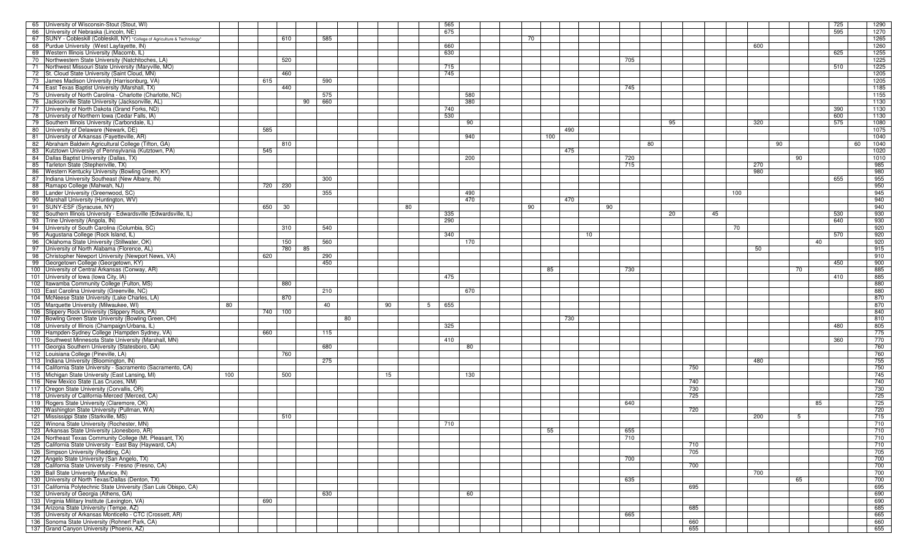| 65 University of Wisconsin-Stout (Stout, WI)                                |     |         |           |     |    |    |    |   | 565 |     |    |     |     |     |    |    |     |     |     |    |    | 725 | 1290 |
|-----------------------------------------------------------------------------|-----|---------|-----------|-----|----|----|----|---|-----|-----|----|-----|-----|-----|----|----|-----|-----|-----|----|----|-----|------|
| 66 University of Nebraska (Lincoln, NE)                                     |     |         |           |     |    |    |    |   | 675 |     |    |     |     |     |    |    |     |     |     |    |    | 595 | 1270 |
|                                                                             |     |         |           |     |    |    |    |   |     |     |    |     |     |     |    |    |     |     |     |    |    |     |      |
| 67 SUNY - Cobleskill (Cobleskill, NY) *College of Agriculture & Technology* |     | 610     |           | 585 |    |    |    |   |     |     | 70 |     |     |     |    |    |     |     |     |    |    |     | 1265 |
| 68 Purdue University (West Layfayette, IN)                                  |     |         |           |     |    |    |    |   | 660 |     |    |     |     |     |    |    |     |     | 600 |    |    |     | 1260 |
| 69 Western Illinois University (Macomb, IL)                                 |     |         |           |     |    |    |    |   | 630 |     |    |     |     |     |    |    |     |     |     |    |    | 625 | 1255 |
| 70 Northwestern State University (Natchitoches, LA)                         |     | 520     |           |     |    |    |    |   |     |     |    |     |     | 705 |    |    |     |     |     |    |    |     | 1225 |
| 71 Northwest Missouri State University (Maryville, MO)                      |     |         |           |     |    |    |    |   | 715 |     |    |     |     |     |    |    |     |     |     |    |    | 510 | 1225 |
| 72 St. Cloud State University (Saint Cloud, MN)                             |     |         |           |     |    |    |    |   | 745 |     |    |     |     |     |    |    |     |     |     |    |    |     | 1205 |
|                                                                             |     | 460     |           |     |    |    |    |   |     |     |    |     |     |     |    |    |     |     |     |    |    |     |      |
| 73 James Madison University (Harrisonburg, VA)                              |     | 615     |           | 590 |    |    |    |   |     |     |    |     |     |     |    |    |     |     |     |    |    |     | 1205 |
| 74 East Texas Baptist University (Marshall, TX)                             |     | 440     |           |     |    |    |    |   |     |     |    |     |     | 745 |    |    |     |     |     |    |    |     | 1185 |
| 75 University of North Carolina - Charlotte (Charlotte, NC)                 |     |         |           | 575 |    |    |    |   |     | 580 |    |     |     |     |    |    |     |     |     |    |    |     | 1155 |
| 76 Jacksonville State University (Jacksonville, AL)                         |     |         | 90        | 660 |    |    |    |   |     | 380 |    |     |     |     |    |    |     |     |     |    |    |     | 1130 |
| 77 University of North Dakota (Grand Forks, ND)                             |     |         |           |     |    |    |    |   | 740 |     |    |     |     |     |    |    |     |     |     |    |    | 390 | 1130 |
|                                                                             |     |         |           |     |    |    |    |   |     |     |    |     |     |     |    |    |     |     |     |    |    |     |      |
| 78 University of Northern Iowa (Cedar Falls, IA)                            |     |         |           |     |    |    |    |   | 530 |     |    |     |     |     |    |    |     |     |     |    |    | 600 | 1130 |
| 79 Southern Illinois University (Carbondale, IL)                            |     |         |           |     |    |    |    |   |     | 90  |    |     |     |     |    | 95 |     |     | 320 |    |    | 575 | 1080 |
| 80 University of Delaware (Newark, DE)                                      |     | 585     |           |     |    |    |    |   |     |     |    |     | 490 |     |    |    |     |     |     |    |    |     | 1075 |
| 81 University of Arkansas (Fayetteville, AR)                                |     |         |           |     |    |    |    |   |     | 940 |    | 100 |     |     |    |    |     |     |     |    |    |     | 1040 |
| 82 Abraham Baldwin Agricultural College (Tifton, GA)                        |     | 810     |           |     |    |    |    |   |     |     |    |     |     |     | 80 |    |     |     |     | 90 |    | 60  | 1040 |
|                                                                             |     |         |           |     |    |    |    |   |     |     |    |     |     |     |    |    |     |     |     |    |    |     |      |
| 83 Kutztown University of Pennsylvania (Kutztown, PA)                       |     | 545     |           |     |    |    |    |   |     |     |    |     | 475 |     |    |    |     |     |     |    |    |     | 1020 |
| 84 Dallas Baptist University (Dallas, TX)                                   |     |         |           |     |    |    |    |   |     | 200 |    |     |     | 720 |    |    |     |     |     |    | 90 |     | 1010 |
| 85 Tarleton State (Stephenville, TX)                                        |     |         |           |     |    |    |    |   |     |     |    |     |     | 715 |    |    |     |     | 270 |    |    |     | 985  |
| 86 Western Kentucky University (Bowling Green, KY)                          |     |         |           |     |    |    |    |   |     |     |    |     |     |     |    |    |     |     | 980 |    |    |     | 980  |
| 87 Indiana University Southeast (New Albany, IN)                            |     |         |           | 300 |    |    |    |   |     |     |    |     |     |     |    |    |     |     |     |    |    | 655 | 955  |
|                                                                             |     |         |           |     |    |    |    |   |     |     |    |     |     |     |    |    |     |     |     |    |    |     |      |
| 88 Ramapo College (Mahwah, NJ)                                              |     | 720 230 |           |     |    |    |    |   |     |     |    |     |     |     |    |    |     |     |     |    |    |     | 950  |
| 89 Lander University (Greenwood, SC)                                        |     |         |           | 355 |    |    |    |   |     | 490 |    |     |     |     |    |    |     | 100 |     |    |    |     | 945  |
| 90 Marshall University (Huntington, WV)                                     |     |         |           |     |    |    |    |   |     | 470 |    |     | 470 |     |    |    |     |     |     |    |    |     | 940  |
| 91 SUNY-ESF (Syracuse, NY)                                                  |     | 650 30  |           |     |    |    | 80 |   |     |     | 90 |     |     | 90  |    |    |     |     |     |    |    |     | 940  |
|                                                                             |     |         |           |     |    |    |    |   |     |     |    |     |     |     |    |    |     |     |     |    |    |     |      |
| 92 Southern Illinois University - Edwardsville (Edwardsville, IL)           |     |         |           |     |    |    |    |   | 335 |     |    |     |     |     |    | 20 |     | 45  |     |    |    | 530 | 930  |
| 93 Trine University (Angola, IN)                                            |     |         |           |     |    |    |    |   | 290 |     |    |     |     |     |    |    |     |     |     |    |    | 640 | 930  |
| 94 University of South Carolina (Columbia, SC)                              |     | 310     |           | 540 |    |    |    |   |     |     |    |     |     |     |    |    |     | 70  |     |    |    |     | 920  |
| 95 Augustana College (Rock Island, IL)                                      |     |         |           |     |    |    |    |   | 340 |     |    |     |     | 10  |    |    |     |     |     |    |    | 570 | 920  |
| 96 Oklahoma State University (Stillwater, OK)                               |     | 150     |           | 560 |    |    |    |   |     | 170 |    |     |     |     |    |    |     |     |     |    | 40 |     | 920  |
|                                                                             |     |         |           |     |    |    |    |   |     |     |    |     |     |     |    |    |     |     |     |    |    |     |      |
| $-97$<br>University of North Alabama (Florence, AL)                         |     |         | 780<br>85 |     |    |    |    |   |     |     |    |     |     |     |    |    |     |     | 50  |    |    |     | 915  |
| 98 Christopher Newport University (Newport News, VA)                        |     | 620     |           | 290 |    |    |    |   |     |     |    |     |     |     |    |    |     |     |     |    |    |     | 910  |
| 99 Georgetown College (Georgetown, KY)                                      |     |         |           | 450 |    |    |    |   |     |     |    |     |     |     |    |    |     |     |     |    |    | 450 | 900  |
| 100 University of Central Arkansas (Conway, AR)                             |     |         |           |     |    |    |    |   |     |     |    | 85  |     | 730 |    |    |     |     |     |    | 70 |     | 885  |
| 101 University of Iowa (Iowa City, IA)                                      |     |         |           |     |    |    |    |   | 475 |     |    |     |     |     |    |    |     |     |     |    |    | 410 | 885  |
|                                                                             |     |         |           |     |    |    |    |   |     |     |    |     |     |     |    |    |     |     |     |    |    |     |      |
| 102 Itawamba Community College (Fulton, MS)                                 |     | 880     |           |     |    |    |    |   |     |     |    |     |     |     |    |    |     |     |     |    |    |     | 880  |
| 103 East Carolina University (Greenville, NC)                               |     |         |           | 210 |    |    |    |   |     | 670 |    |     |     |     |    |    |     |     |     |    |    |     | 880  |
| 104 McNeese State University (Lake Charles, LA)                             |     | 870     |           |     |    |    |    |   |     |     |    |     |     |     |    |    |     |     |     |    |    |     | 870  |
| 105 Marquette University (Milwaukee, WI)                                    | 80  |         |           | 40  |    | 90 |    | 5 | 655 |     |    |     |     |     |    |    |     |     |     |    |    |     | 870  |
|                                                                             |     |         |           |     |    |    |    |   |     |     |    |     |     |     |    |    |     |     |     |    |    |     | 840  |
| 106 Slippery Rock University (Slippery Rock, PA)                            |     | 740 100 |           |     |    |    |    |   |     |     |    |     |     |     |    |    |     |     |     |    |    |     |      |
| Bowling Green State University (Bowling Green, OH)<br>107                   |     |         |           |     | 80 |    |    |   |     |     |    |     | 730 |     |    |    |     |     |     |    |    |     | 810  |
| 108 University of Illinois (Champaign/Urbana, IL)                           |     |         |           |     |    |    |    |   | 325 |     |    |     |     |     |    |    |     |     |     |    |    | 480 | 805  |
| 109 Hampden-Sydney College (Hampden Sydney, VA)                             |     | 660     |           | 115 |    |    |    |   |     |     |    |     |     |     |    |    |     |     |     |    |    |     | 775  |
| 110 Southwest Minnesota State University (Marshall, MN)                     |     |         |           |     |    |    |    |   | 410 |     |    |     |     |     |    |    |     |     |     |    |    | 360 | 770  |
|                                                                             |     |         |           |     |    |    |    |   |     |     |    |     |     |     |    |    |     |     |     |    |    |     |      |
| 111 Georgia Southern University (Statesboro, GA)                            |     |         |           | 680 |    |    |    |   |     | 80  |    |     |     |     |    |    |     |     |     |    |    |     | 760  |
| 112 Louisiana College (Pineville, LA)                                       |     | 760     |           |     |    |    |    |   |     |     |    |     |     |     |    |    |     |     |     |    |    |     | 760  |
| 113 Indiana University (Bloomington, IN)                                    |     |         |           | 275 |    |    |    |   |     |     |    |     |     |     |    |    |     |     | 480 |    |    |     | 755  |
| 114 California State University - Sacramento (Sacramento, CA)               |     |         |           |     |    |    |    |   |     |     |    |     |     |     |    |    | 750 |     |     |    |    |     | 750  |
| 115 Michigan State University (East Lansing, MI)                            | 100 | 500     |           |     |    | 15 |    |   |     | 130 |    |     |     |     |    |    |     |     |     |    |    |     | 745  |
|                                                                             |     |         |           |     |    |    |    |   |     |     |    |     |     |     |    |    |     |     |     |    |    |     |      |
| 116 New Mexico State (Las Cruces, NM)                                       |     |         |           |     |    |    |    |   |     |     |    |     |     |     |    |    | 740 |     |     |    |    |     | 740  |
| 117 Oregon State University (Corvallis, OR)                                 |     |         |           |     |    |    |    |   |     |     |    |     |     |     |    |    | 730 |     |     |    |    |     | 730  |
| 118 University of California-Merced (Merced, CA)                            |     |         |           |     |    |    |    |   |     |     |    |     |     |     |    |    | 725 |     |     |    |    |     | 725  |
| 119 Rogers State University (Claremore, OK)                                 |     |         |           |     |    |    |    |   |     |     |    |     |     | 640 |    |    |     |     |     |    | 85 |     | 725  |
| 120 Washington State University (Pullman, WA)                               |     |         |           |     |    |    |    |   |     |     |    |     |     |     |    |    | 720 |     |     |    |    |     | 720  |
| 121 Mississippi State (Starkville, MS)                                      |     |         |           |     |    |    |    |   |     |     |    |     |     |     |    |    |     |     |     |    |    |     |      |
|                                                                             |     |         |           |     |    |    |    |   |     |     |    |     |     |     |    |    |     |     |     |    |    |     | 715  |
|                                                                             |     | 510     |           |     |    |    |    |   |     |     |    |     |     |     |    |    |     |     | 200 |    | 5  |     |      |
| 122 Winona State University (Rochester, MN)                                 |     |         |           |     |    |    |    |   | 710 |     |    |     |     |     |    |    |     |     |     |    |    |     | 710  |
|                                                                             |     |         |           |     |    |    |    |   |     |     |    |     |     |     |    |    |     |     |     |    |    |     |      |
| 123 Arkansas State University (Jonesboro, AR)                               |     |         |           |     |    |    |    |   |     |     |    | 55  |     | 655 |    |    |     |     |     |    |    |     | 710  |
| 124 Northeast Texas Community College (Mt. Pleasant, TX)                    |     |         |           |     |    |    |    |   |     |     |    |     |     | 710 |    |    |     |     |     |    |    |     | 710  |
| 125 California State University - East Bay (Hayward, CA)                    |     |         |           |     |    |    |    |   |     |     |    |     |     |     |    |    | 710 |     |     |    |    |     | 710  |
| 126 Simpson University (Redding, CA)                                        |     |         |           |     |    |    |    |   |     |     |    |     |     |     |    |    | 705 |     |     |    |    |     | 705  |
| 127 Angelo State University (San Angelo, TX)                                |     |         |           |     |    |    |    |   |     |     |    |     |     | 700 |    |    |     |     |     |    |    |     | 700  |
|                                                                             |     |         |           |     |    |    |    |   |     |     |    |     |     |     |    |    |     |     |     |    |    |     |      |
| 128 California State University - Fresno (Fresno, CA)                       |     |         |           |     |    |    |    |   |     |     |    |     |     |     |    |    | 700 |     |     |    |    |     | 700  |
| 129 Ball State University (Munice, IN)                                      |     |         |           |     |    |    |    |   |     |     |    |     |     |     |    |    |     |     | 700 |    |    |     | 700  |
| 130 University of North Texas/Dallas (Denton, TX)                           |     |         |           |     |    |    |    |   |     |     |    |     |     | 635 |    |    |     |     |     |    | 65 |     | 700  |
| 131 California Polytechnic State University (San Luis Obispo, CA)           |     |         |           |     |    |    |    |   |     |     |    |     |     |     |    |    | 695 |     |     |    |    |     | 695  |
| 132 University of Georgia (Athens, GA)                                      |     |         |           | 630 |    |    |    |   |     | 60  |    |     |     |     |    |    |     |     |     |    |    |     | 690  |
|                                                                             |     |         |           |     |    |    |    |   |     |     |    |     |     |     |    |    |     |     |     |    |    |     |      |
| 133 Virginia Military Institute (Lexington, VA)                             |     | 690     |           |     |    |    |    |   |     |     |    |     |     |     |    |    |     |     |     |    |    |     | 690  |
| 134 Arizona State University (Tempe, AZ)                                    |     |         |           |     |    |    |    |   |     |     |    |     |     |     |    |    | 685 |     |     |    |    |     | 685  |
| 135 University of Arkansas Monticello - CTC (Crossett, AR)                  |     |         |           |     |    |    |    |   |     |     |    |     |     | 665 |    |    |     |     |     |    |    |     | 665  |
| 136 Sonoma State University (Rohnert Park, CA)                              |     |         |           |     |    |    |    |   |     |     |    |     |     |     |    |    | 660 |     |     |    |    |     | 660  |
| 137 Grand Canyon University (Phoenix, AZ)                                   |     |         |           |     |    |    |    |   |     |     |    |     |     |     |    |    | 655 |     |     |    |    |     | 655  |